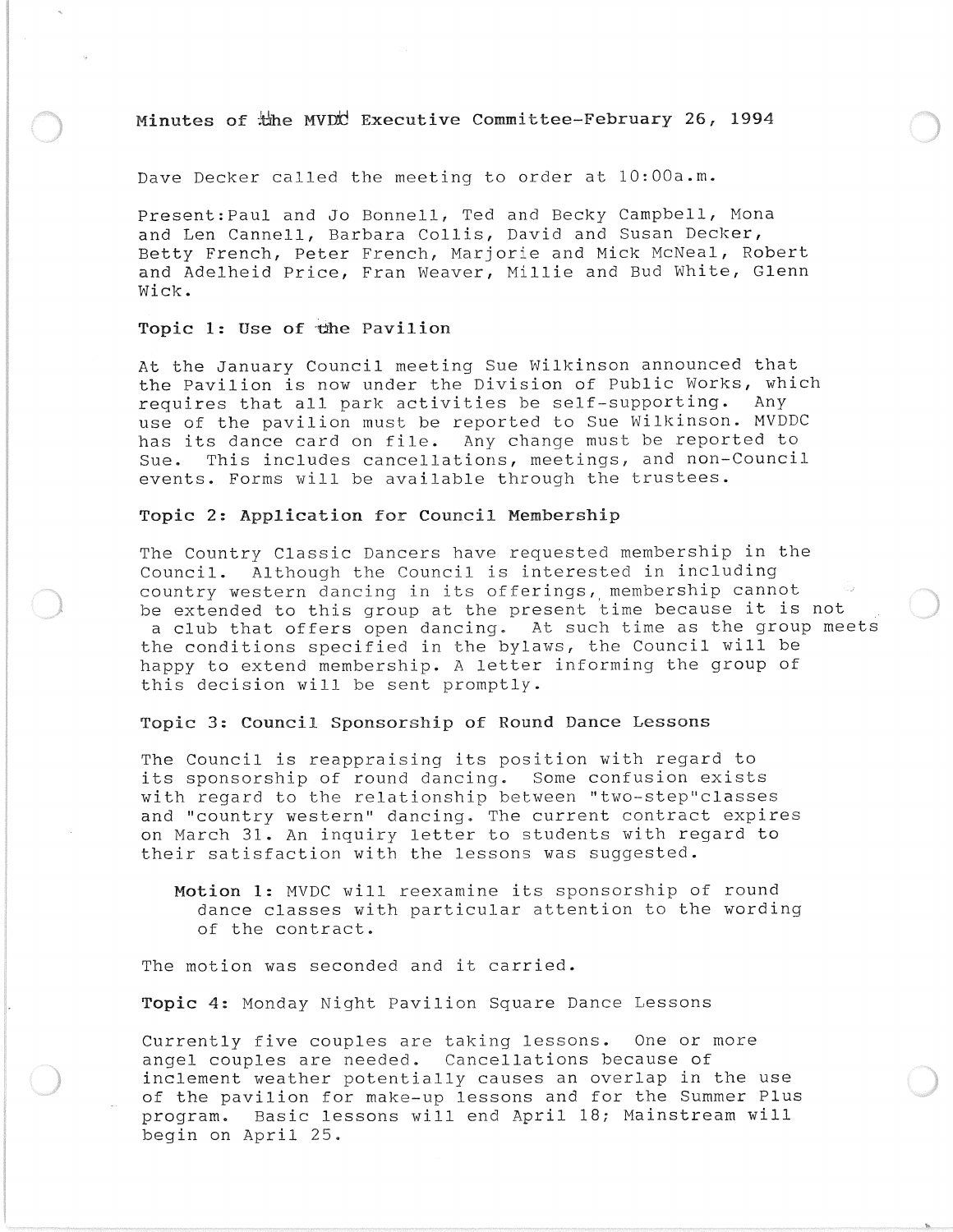# **Minutes of Executive Committee-February 26, 1994**

Dave Decker called the meeting to order at 10:00a.m.

Present:Paul and Jo Bonnell, Ted and Becky Campbell, Mona and Len Cannell, Barbara Collis, David and Susan Decker, Betty French, Peter French, Marjorie and Mick McNeal, Robert and Adelheid Price, Fran Weaver, Millie and Bud White, Glenn Wick.

#### **Topic 1:** Use **of** -cihe **Pavilion**

At the January Council meeting Sue Wilkinson announced that the Pavilion is now under the Division of Public Works, which requires that all park activities be self-supporting. Any use of the pavilion must be reported to Sue Wilkinson. MVDDC has its dance card on file. Any change must be reported to Sue. This includes cancellations, meetings, and non-Council events. Forms will be available through the trustees.

### **Topic 2: Application for Council Membership**

The Country Classic Dancers have requested membership in the Council. Although the Council is interested in including country western dancing in its offerings, membership cannot be extended to this group at the present time because it is not a club that offers open dancing. At such time as the group meets the conditions specified in the bylaws, the Council will be happy to extend membership. A letter informing the group of this decision will be sent promptly.

### **Topic 3: Council Sponsorship of Round Dance Lessons**

The Council is reappraising its position with regard to its sponsorship of round dancing. Some confusion exists with regard to the relationship between "two-step"classes and "country western" dancing. The current contract expires on March 31. An inquiry letter to students with regard to their satisfaction with the lessons was suggested.

**Motion 1:** MVDC will reexamine its sponsorship of round dance classes with particular attention to the wording of the contract.

The motion was seconded and it carried.

**Topic 4:** Monday Night Pavilion Square Dance Lessons

Currently five couples are taking lessons. One or more angel couples are needed. Cancellations because of inclement weather potentially causes an overlap in the use of the pavilion for make-up lessons and for the Summer Plus program. Basic lessons will end April 18; Mainstream will begin on April 25.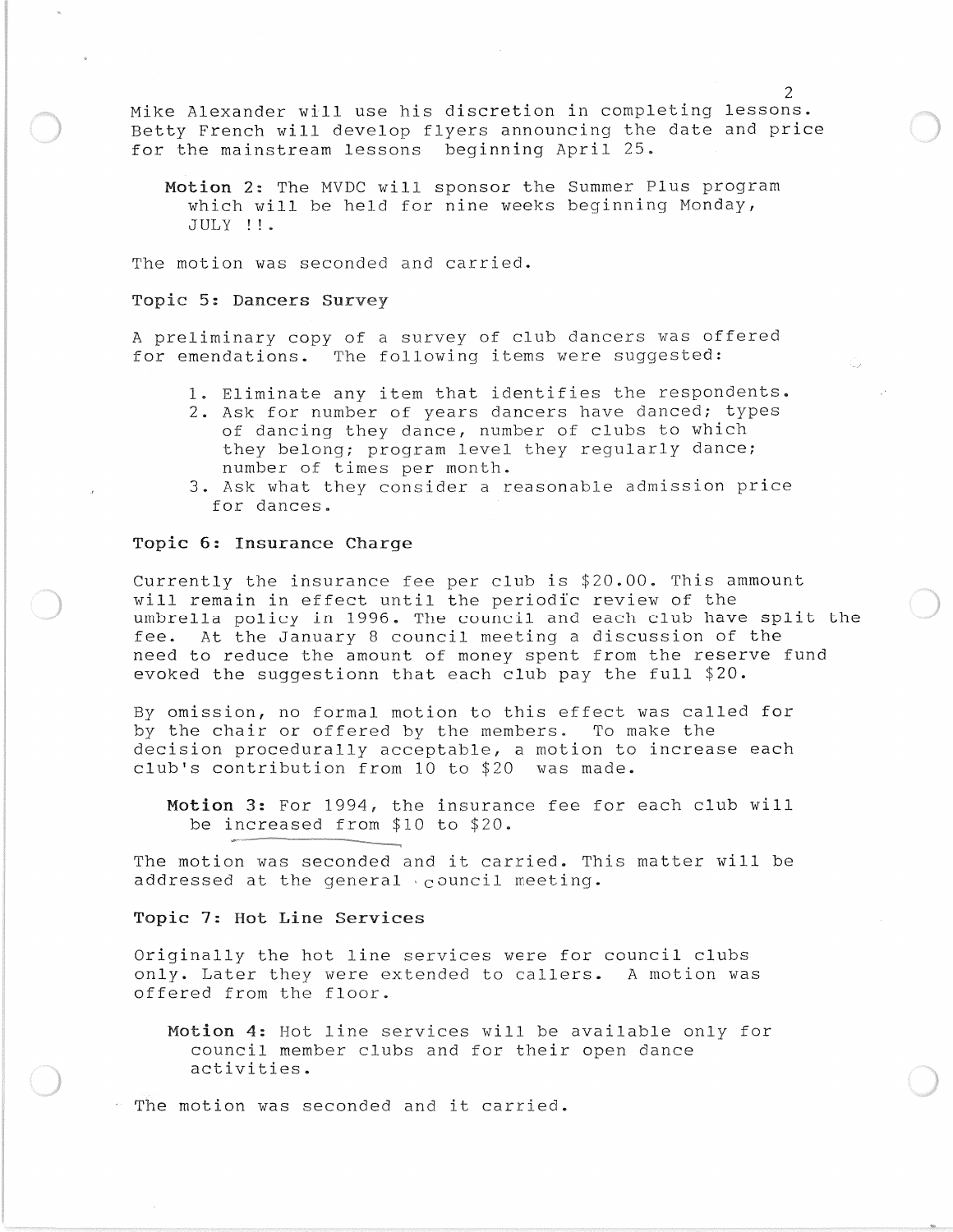Mike Alexander will use his discretion in completing lessons. Betty French will develop flyers announcing the date and price for the mainstream lessons beginning April 25.

Motion 2: The MVDC will sponsor the Summer Plus program which will be held for nine weeks beginning Monday, JULY !!.

The motion was seconded and carried.

### Topic 5: Dancers Survey

A preliminary copy of a survey of club dancers was offered for emendations. The following items were suggested:

- 1. Eliminate any item that identifies the respondents.
- 2. Ask for number of years dancers have danced; types of dancing they dance, number of clubs to which they belong; program level they regularly dance; number of times per month.
- 3. Ask what they consider a reasonable admission price for dances.

#### Topic 6: Insurance Charge

Currently the insurance fee per club is \$20.00. This ammount will remain in effect until the periodic review of the umbrella policy in 1996. The council and each club have split the fee. At the January 8 council meeting a discussion of the need to reduce the amount of money spent from the reserve fund evoked the suggestionn that each club pay the full \$20.

By omission, no formal motion to this effect was called for by the chair or offered by the members. To make the decision procedurally acceptable, a motion to increase each club's contribution from 10 to \$20 was made.

Motion 3: For 1994, the insurance fee for each club will be increased from \$10 to \$20.

The motion was seconded and it carried. This matter will be addressed at the general 'council meeting.

## Topic 7: Hot Line Services

Originally the hot line services were for council clubs only. Later they were extended to callers. A motion was offered from the floor.

Motion 4: Hot line services will be available only for council member clubs and for their open dance activities.

The motion was seconded and it carried.

------.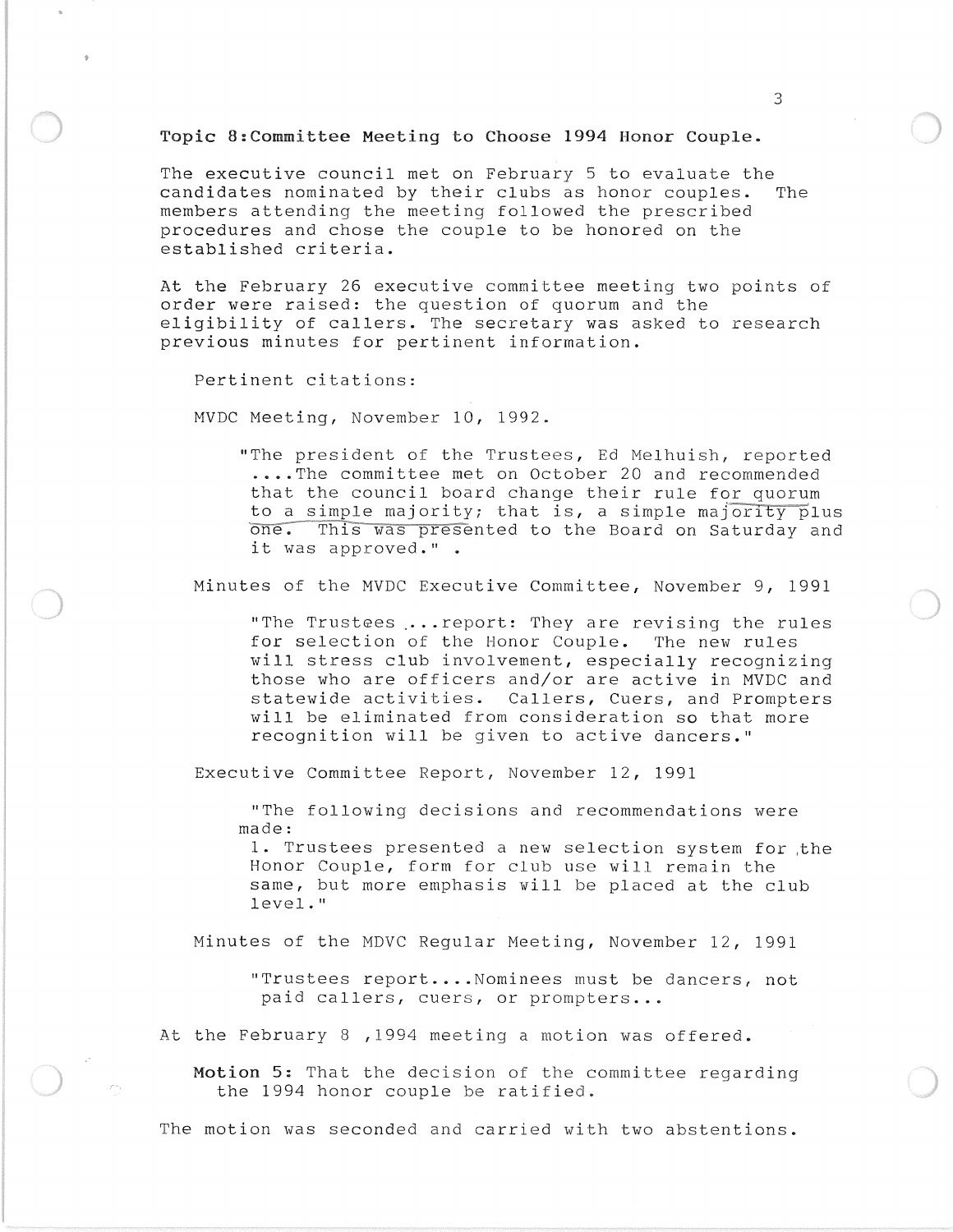# Topic 8:Committee Meeting to Choose 1994 Honor Couple.

The executive council met on February 5 to evaluate the candidates nominated by their clubs as honor couples. The members attending the meeting followed the prescribed procedures and chose the couple to be honored on the established criteria.

At the February 26 executive committee meeting two points of order were raised: the question of quorum and the eligibility of callers. The secretary was asked to research previous minutes for pertinent information.

Pertinent citations:

MVDC Meeting, November 10, 1992.

"The president of the Trustees, Ed Melhuish, reported .... The committee met on October 20 and recommended that the council board change their rule for quorum to a simple majority; that is, a simple majority plus one. This was presented to the Board on Saturday and it was approved." .

Minutes of the MVDC Executive Committee, November 9, 1991

"The Trustees ... report: They are revising the rules for selection of the Honor Couple. The new rules will stress club involvement, especially recognizing those who are officers and/or are active in MVDC and statewide activities. Callers, Cuers, and Prompters will be eliminated from consideration so that more recognition will be given to active dancers."

Executive Committee Report, November 12, 1991

"The following decisions and recommendations were made:

1. Trustees presented a new selection system for ,the Honor Couple, form for club use will remain the same, but more emphasis will be placed at the club level."

Minutes of the MDVC Regular Meeting, November 12, 1991

"Trustees report....Nominees must be dancers, not paid callers, cuers, or prompters...

At the February 8 ,1994 meeting a motion was offered.

Motion 5: That the decision of the committee regarding the 1994 honor couple be ratified.

The motion was seconded and carried with two abstentions.